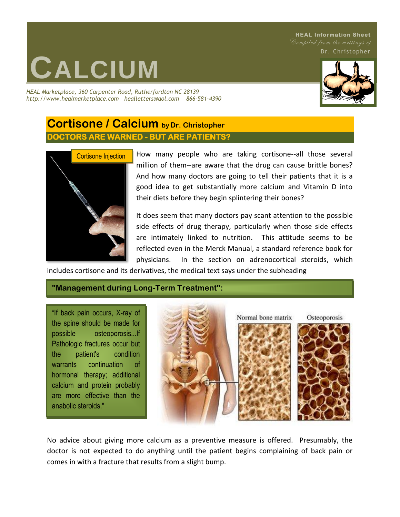#### **HEAL Information Sheet** Compiled from the writings of

Dr. Christopher

# **CALCIUM**

*HEAL Marketplace, 360 Carpenter Road, Rutherfordton NC 28139 http://www.healmarketplace.com healletters@aol.com 866-581-4390*



## **Cortisone / Calcium by Dr. Christopher DOCTORS ARE WARNED - BUT ARE PATIENTS?**



How many people who are taking cortisone--all those several million of them--are aware that the drug can cause brittle bones? And how many doctors are going to tell their patients that it is a good idea to get substantially more calcium and Vitamin D into their diets before they begin splintering their bones?

It does seem that many doctors pay scant attention to the possible side effects of drug therapy, particularly when those side effects are intimately linked to nutrition. This attitude seems to be reflected even in the Merck Manual, a standard reference book for physicians. In the section on adrenocortical steroids, which

includes cortisone and its derivatives, the medical text says under the subheading

#### **"Management during Long-Term Treatment":**

"If back pain occurs, X-ray of the spine should be made for possible osteoporosis...If Pathologic fractures occur but the patient's condition warrants continuation of hormonal therapy; additional calcium and protein probably are more effective than the anabolic steroids."



No advice about giving more calcium as a preventive measure is offered. Presumably, the doctor is not expected to do anything until the patient begins complaining of back pain or comes in with a fracture that results from a slight bump.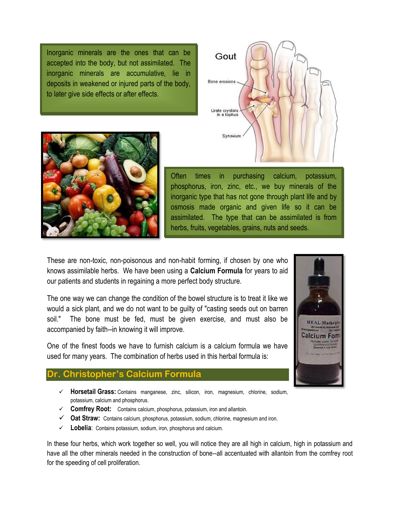Inorganic minerals are the ones that can be accepted into the body, but not assimilated. The inorganic minerals are accumulative, lie in deposits in weakened or injured parts of the body, to later give side effects or after effects.





Often times in purchasing calcium, potassium, phosphorus, iron, zinc, etc., we buy minerals of the inorganic type that has not gone through plant life and by osmosis made organic and given life so it can be assimilated. The type that can be assimilated is from herbs, fruits, vegetables, grains, nuts and seeds.

These are non-toxic, non-poisonous and non-habit forming, if chosen by one who knows assimilable herbs. We have been using a **Calcium Formula** for years to aid our patients and students in regaining a more perfect body structure.

The one way we can change the condition of the bowel structure is to treat it like we would a sick plant, and we do not want to be guilty of "casting seeds out on barren soil." The bone must be fed, must be given exercise, and must also be accompanied by faith--in knowing it will improve.

One of the finest foods we have to furnish calcium is a calcium formula we have used for many years. The combination of herbs used in this herbal formula is:

#### **Dr. Christopher's Calcium Formula**

- ✓ **Horsetail Grass:** Contains manganese, zinc, silicon, iron, magnesium, chlorine, sodium, potassium, calcium and phosphorus.
- ✓ **Comfrey Root:** Contains calcium, phosphorus, potassium, iron and allantoin.
- ✓ **Oat Straw:** Contains calcium, phosphorus, potassium, sodium, chlorine, magnesium and iron.
- ✓ **Lobelia**: Contains potassium, sodium, iron, phosphorus and calcium.

In these four herbs, which work together so well, you will notice they are all high in calcium, high in potassium and have all the other minerals needed in the construction of bone--all accentuated with allantoin from the comfrey root for the speeding of cell proliferation.

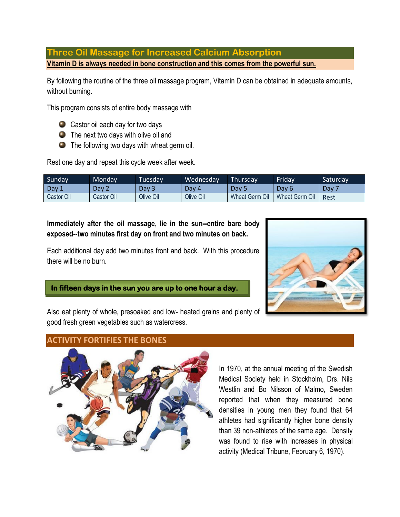**Three Oil Massage for Increased Calcium Absorption Vitamin D is always needed in bone construction and this comes from the powerful sun.**

By following the routine of the three oil massage program, Vitamin D can be obtained in adequate amounts, without burning.

This program consists of entire body massage with

- Castor oil each day for two days
- **O** The next two days with olive oil and
- **O** The following two days with wheat germ oil.

Rest one day and repeat this cycle week after week.

| Sunday <sup>'</sup> | Mondav     | Tuesdav   | Wednesday | Thursday       | <b>Friday</b>            | Saturday         |
|---------------------|------------|-----------|-----------|----------------|--------------------------|------------------|
| Day?                | Dav 2      | Dav 3     | Dav 4     | Dav            | Dav 6                    | Dav <sup>-</sup> |
| Castor Oil          | Castor Oil | Olive Oil | Olive Oil | Wheat Germ Oil | <b>Wheat Germ</b><br>Oil | Rest             |

**Immediately after the oil massage, lie in the sun--entire bare body exposed--two minutes first day on front and two minutes on back.**

Each additional day add two minutes front and back. With this procedure there will be no burn.



**In fifteen days in the sun you are up to one hour a day.** 

Also eat plenty of whole, presoaked and low- heated grains and plenty of good fresh green vegetables such as watercress.

#### **ACTIVITY FORTIFIES THE BONES**



In 1970, at the annual meeting of the Swedish Medical Society held in Stockholm, Drs. Nils Westlin and Bo Nilsson of Malmo, Sweden reported that when they measured bone densities in young men they found that 64 athletes had significantly higher bone density than 39 non-athletes of the same age. Density was found to rise with increases in physical activity (Medical Tribune, February 6, 1970).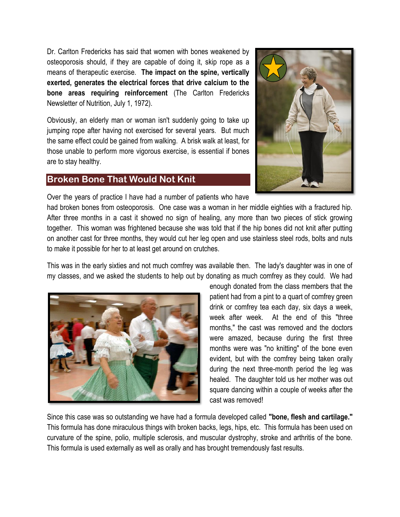Dr. Carlton Fredericks has said that women with bones weakened by osteoporosis should, if they are capable of doing it, skip rope as a means of therapeutic exercise. **The impact on the spine, vertically exerted, generates the electrical forces that drive calcium to the bone areas requiring reinforcement** (The Carlton Fredericks Newsletter of Nutrition, July 1, 1972).

Obviously, an elderly man or woman isn't suddenly going to take up jumping rope after having not exercised for several years. But much the same effect could be gained from walking. A brisk walk at least, for those unable to perform more vigorous exercise, is essential if bones are to stay healthy.

### **Broken Bone That Would Not Knit**



Over the years of practice I have had a number of patients who have

had broken bones from osteoporosis. One case was a woman in her middle eighties with a fractured hip. After three months in a cast it showed no sign of healing, any more than two pieces of stick growing together. This woman was frightened because she was told that if the hip bones did not knit after putting on another cast for three months, they would cut her leg open and use stainless steel rods, bolts and nuts to make it possible for her to at least get around on crutches.

This was in the early sixties and not much comfrey was available then. The lady's daughter was in one of my classes, and we asked the students to help out by donating as much comfrey as they could. We had



enough donated from the class members that the patient had from a pint to a quart of comfrey green drink or comfrey tea each day, six days a week, week after week. At the end of this "three months," the cast was removed and the doctors were amazed, because during the first three months were was "no knitting" of the bone even evident, but with the comfrey being taken orally during the next three-month period the leg was healed. The daughter told us her mother was out square dancing within a couple of weeks after the cast was removed!

Since this case was so outstanding we have had a formula developed called **"bone, flesh and cartilage."** This formula has done miraculous things with broken backs, legs, hips, etc. This formula has been used on curvature of the spine, polio, multiple sclerosis, and muscular dystrophy, stroke and arthritis of the bone. This formula is used externally as well as orally and has brought tremendously fast results.